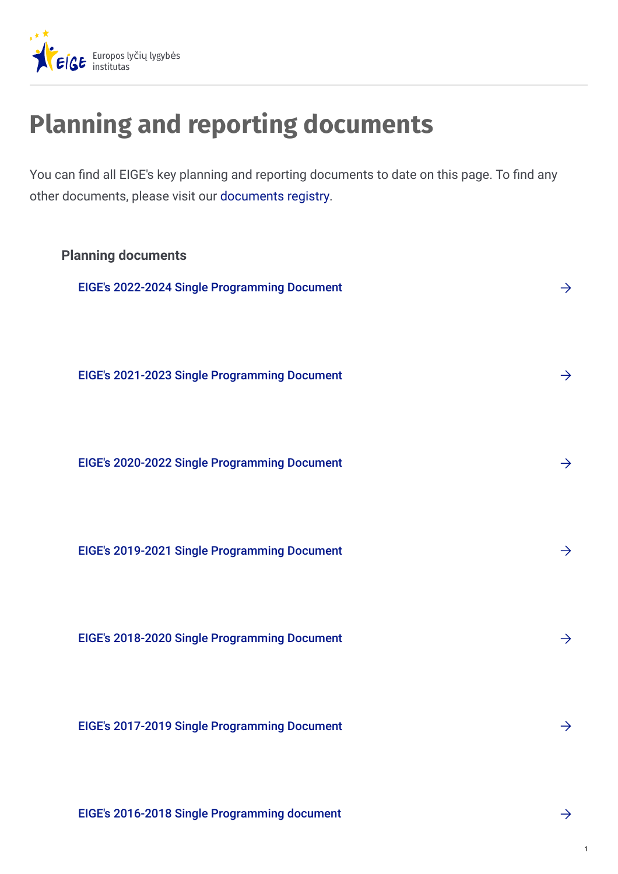

## **Planning and reporting documents**

You can find all EIGE's key planning and reporting documents to date on this page. To find any other documents, please visit our [documents](https://eige.europa.eu/about-eige/documents-registry) registry.



EIGE's 2016-2018 Single [Programming](https://eige.europa.eu/about-eige/documents-registry/eiges-2016-2018-single-programming-document) document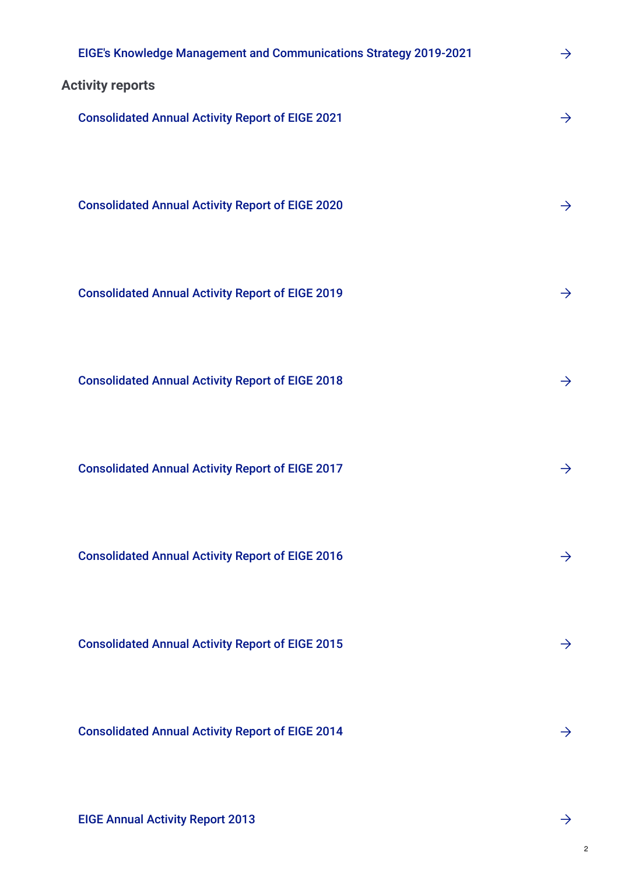| EIGE's Knowledge Management and Communications Strategy 2019-2021 | $\rightarrow$ |
|-------------------------------------------------------------------|---------------|
| <b>Activity reports</b>                                           |               |
| <b>Consolidated Annual Activity Report of EIGE 2021</b>           | $\rightarrow$ |
|                                                                   |               |
|                                                                   |               |
| <b>Consolidated Annual Activity Report of EIGE 2020</b>           | $\rightarrow$ |
|                                                                   |               |
| <b>Consolidated Annual Activity Report of EIGE 2019</b>           | $\rightarrow$ |
|                                                                   |               |
| <b>Consolidated Annual Activity Report of EIGE 2018</b>           | $\rightarrow$ |
|                                                                   |               |
|                                                                   |               |
| <b>Consolidated Annual Activity Report of EIGE 2017</b>           | $\rightarrow$ |
|                                                                   |               |
| <b>Consolidated Annual Activity Report of EIGE 2016</b>           | $\rightarrow$ |
|                                                                   |               |
|                                                                   |               |
| <b>Consolidated Annual Activity Report of EIGE 2015</b>           | $\rightarrow$ |
|                                                                   |               |
| <b>Consolidated Annual Activity Report of EIGE 2014</b>           | $\rightarrow$ |
|                                                                   |               |
|                                                                   |               |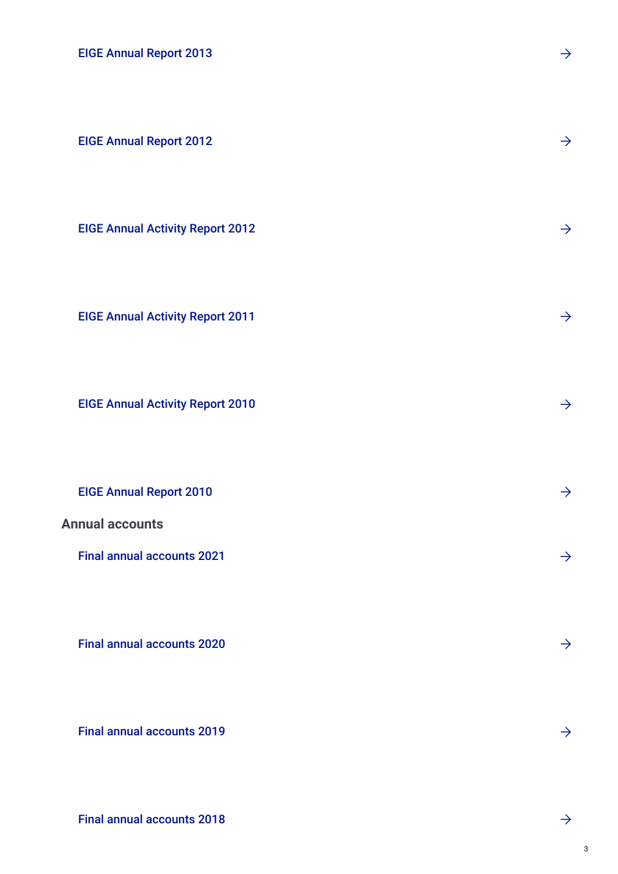EIGE [Annual](https://eige.europa.eu/about-eige/documents-registry/eige-annual-report-2013) Report 2013

EIGE [Annual](https://eige.europa.eu/about-eige/documents-registry/eige-annual-report-2012) Report 2012

EIGE Annual [Activity](https://eige.europa.eu/about-eige/documents-registry/eige-annual-activity-report-2012) Report 2012

EIGE Annual [Activity](https://eige.europa.eu/about-eige/documents-registry/eige-annual-activity-report-2011) Report 2011

EIGE Annual [Activity](https://eige.europa.eu/about-eige/documents-registry/eige-annual-activity-report-2010) Report 2010

EIGE [Annual](https://eige.europa.eu/about-eige/documents-registry/eige-annual-report-2010) Report 2010

**Annual accounts**

Final annual [accounts](https://eige.europa.eu/about/documents-registry/final-annual-accounts-financial-year-2021) 2021

Final annual [accounts](https://eige.europa.eu/about/documents-registry/final-annual-accounts-financial-year-2020) 2020

Final annual [accounts](https://eige.europa.eu/about/documents-registry/final-annual-accounts-financial-year-2019) 2019

Final annual [accounts](https://eige.europa.eu/about/documents-registry/final-annual-accounts-financial-year-2018) 2018

3